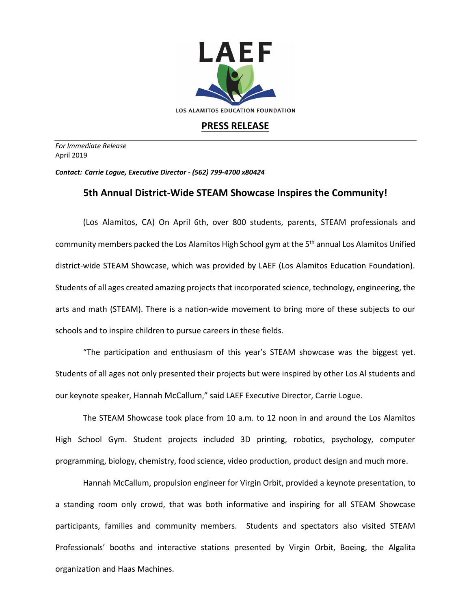

## **PRESS RELEASE**

*For Immediate Release*  April 2019

*Contact: Carrie Logue, Executive Director - (562) 799-4700 x80424*

## **5th Annual District-Wide STEAM Showcase Inspires the Community!**

(Los Alamitos, CA) On April 6th, over 800 students, parents, STEAM professionals and community members packed the Los Alamitos High School gym at the 5<sup>th</sup> annual Los Alamitos Unified district-wide STEAM Showcase, which was provided by LAEF (Los Alamitos Education Foundation). Students of all ages created amazing projects that incorporated science, technology, engineering, the arts and math (STEAM). There is a nation-wide movement to bring more of these subjects to our schools and to inspire children to pursue careers in these fields.

"The participation and enthusiasm of this year's STEAM showcase was the biggest yet. Students of all ages not only presented their projects but were inspired by other Los Al students and our keynote speaker, Hannah McCallum," said LAEF Executive Director, Carrie Logue.

The STEAM Showcase took place from 10 a.m. to 12 noon in and around the Los Alamitos High School Gym. Student projects included 3D printing, robotics, psychology, computer programming, biology, chemistry, food science, video production, product design and much more.

Hannah McCallum, propulsion engineer for Virgin Orbit, provided a keynote presentation, to a standing room only crowd, that was both informative and inspiring for all STEAM Showcase participants, families and community members. Students and spectators also visited STEAM Professionals' booths and interactive stations presented by Virgin Orbit, Boeing, the Algalita organization and Haas Machines.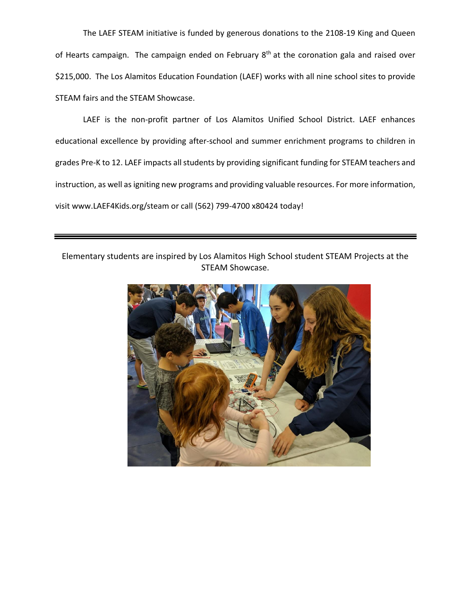The LAEF STEAM initiative is funded by generous donations to the 2108-19 King and Queen of Hearts campaign. The campaign ended on February 8<sup>th</sup> at the coronation gala and raised over \$215,000. The Los Alamitos Education Foundation (LAEF) works with all nine school sites to provide STEAM fairs and the STEAM Showcase.

LAEF is the non-profit partner of Los Alamitos Unified School District. LAEF enhances educational excellence by providing after-school and summer enrichment programs to children in grades Pre-K to 12. LAEF impacts all students by providing significant funding for STEAM teachers and instruction, as well as igniting new programs and providing valuable resources. For more information, visit www.LAEF4Kids.org/steam or call (562) 799-4700 x80424 today!

Elementary students are inspired by Los Alamitos High School student STEAM Projects at the STEAM Showcase.